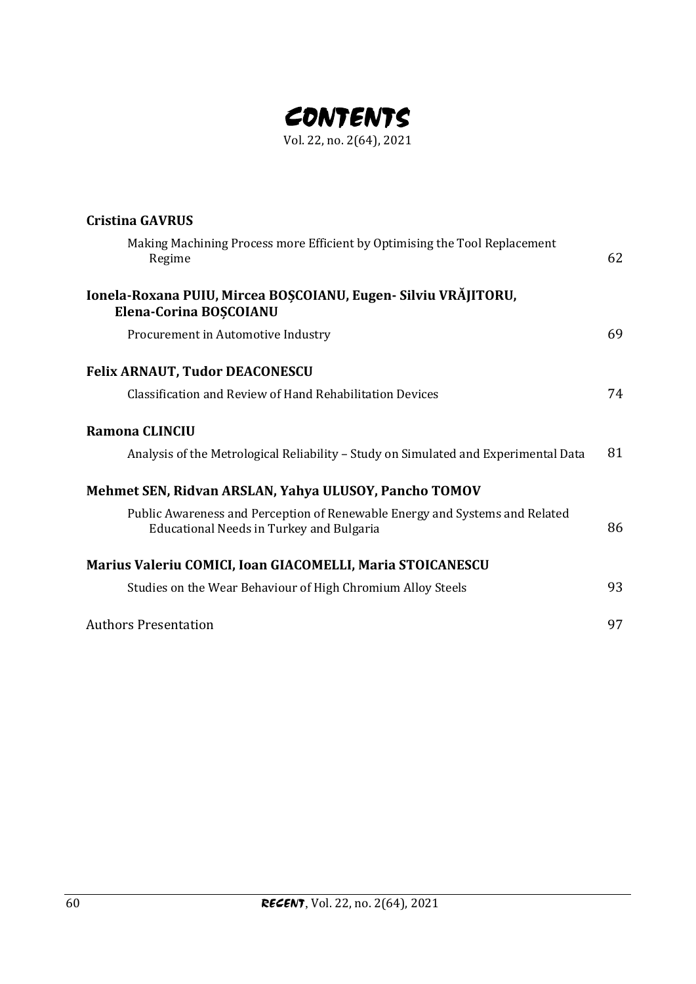

| <b>Cristina GAVRUS</b>                                                                                                         |    |
|--------------------------------------------------------------------------------------------------------------------------------|----|
| Making Machining Process more Efficient by Optimising the Tool Replacement<br>Regime                                           | 62 |
| Ionela-Roxana PUIU, Mircea BOȘCOIANU, Eugen- Silviu VRĂJITORU,<br>Elena-Corina BOȘCOIANU                                       |    |
| Procurement in Automotive Industry                                                                                             | 69 |
| <b>Felix ARNAUT, Tudor DEACONESCU</b>                                                                                          |    |
| Classification and Review of Hand Rehabilitation Devices                                                                       | 74 |
| <b>Ramona CLINCIU</b>                                                                                                          |    |
| Analysis of the Metrological Reliability - Study on Simulated and Experimental Data                                            | 81 |
| Mehmet SEN, Ridvan ARSLAN, Yahya ULUSOY, Pancho TOMOV                                                                          |    |
| Public Awareness and Perception of Renewable Energy and Systems and Related<br><b>Educational Needs in Turkey and Bulgaria</b> | 86 |
| Marius Valeriu COMICI, Ioan GIACOMELLI, Maria STOICANESCU                                                                      |    |
| Studies on the Wear Behaviour of High Chromium Alloy Steels                                                                    | 93 |
| <b>Authors Presentation</b>                                                                                                    | 97 |